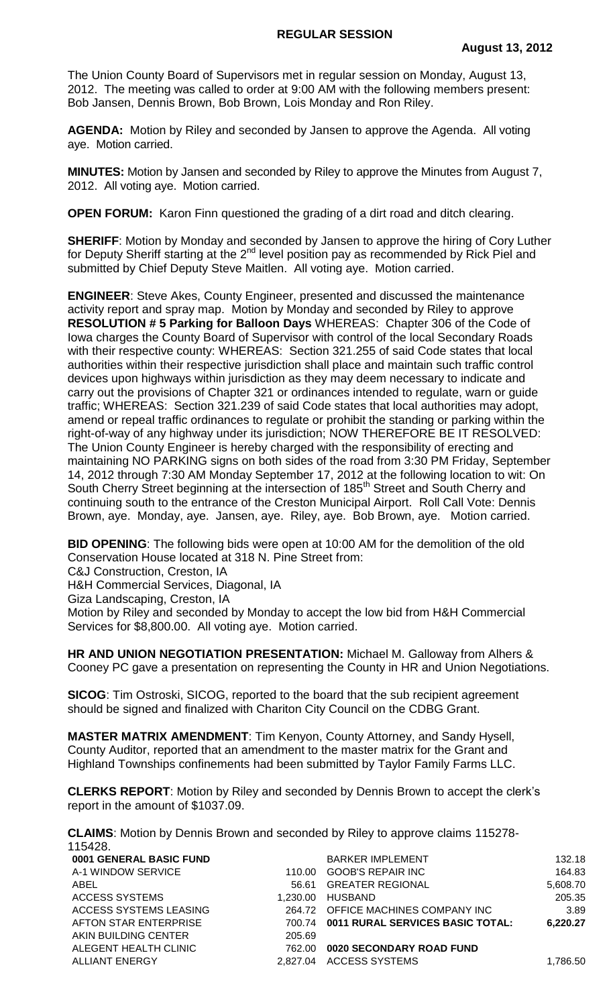The Union County Board of Supervisors met in regular session on Monday, August 13, 2012. The meeting was called to order at 9:00 AM with the following members present: Bob Jansen, Dennis Brown, Bob Brown, Lois Monday and Ron Riley.

**AGENDA:** Motion by Riley and seconded by Jansen to approve the Agenda. All voting aye. Motion carried.

**MINUTES:** Motion by Jansen and seconded by Riley to approve the Minutes from August 7, 2012. All voting aye. Motion carried.

**OPEN FORUM:** Karon Finn questioned the grading of a dirt road and ditch clearing.

**SHERIFF:** Motion by Monday and seconded by Jansen to approve the hiring of Cory Luther for Deputy Sheriff starting at the 2<sup>nd</sup> level position pay as recommended by Rick Piel and submitted by Chief Deputy Steve Maitlen. All voting aye. Motion carried.

**ENGINEER**: Steve Akes, County Engineer, presented and discussed the maintenance activity report and spray map. Motion by Monday and seconded by Riley to approve **RESOLUTION # 5 Parking for Balloon Days** WHEREAS: Chapter 306 of the Code of Iowa charges the County Board of Supervisor with control of the local Secondary Roads with their respective county: WHEREAS: Section 321.255 of said Code states that local authorities within their respective jurisdiction shall place and maintain such traffic control devices upon highways within jurisdiction as they may deem necessary to indicate and carry out the provisions of Chapter 321 or ordinances intended to regulate, warn or guide traffic; WHEREAS: Section 321.239 of said Code states that local authorities may adopt, amend or repeal traffic ordinances to regulate or prohibit the standing or parking within the right-of-way of any highway under its jurisdiction; NOW THEREFORE BE IT RESOLVED: The Union County Engineer is hereby charged with the responsibility of erecting and maintaining NO PARKING signs on both sides of the road from 3:30 PM Friday, September 14, 2012 through 7:30 AM Monday September 17, 2012 at the following location to wit: On South Cherry Street beginning at the intersection of 185<sup>th</sup> Street and South Cherry and continuing south to the entrance of the Creston Municipal Airport. Roll Call Vote: Dennis Brown, aye. Monday, aye. Jansen, aye. Riley, aye. Bob Brown, aye. Motion carried.

**BID OPENING**: The following bids were open at 10:00 AM for the demolition of the old Conservation House located at 318 N. Pine Street from:

C&J Construction, Creston, IA

H&H Commercial Services, Diagonal, IA

Giza Landscaping, Creston, IA

Motion by Riley and seconded by Monday to accept the low bid from H&H Commercial Services for \$8,800.00. All voting aye. Motion carried.

**HR AND UNION NEGOTIATION PRESENTATION:** Michael M. Galloway from Alhers & Cooney PC gave a presentation on representing the County in HR and Union Negotiations.

**SICOG**: Tim Ostroski, SICOG, reported to the board that the sub recipient agreement should be signed and finalized with Chariton City Council on the CDBG Grant.

**MASTER MATRIX AMENDMENT**: Tim Kenyon, County Attorney, and Sandy Hysell, County Auditor, reported that an amendment to the master matrix for the Grant and Highland Townships confinements had been submitted by Taylor Family Farms LLC.

**CLERKS REPORT**: Motion by Riley and seconded by Dennis Brown to accept the clerk's report in the amount of \$1037.09.

**CLAIMS**: Motion by Dennis Brown and seconded by Riley to approve claims 115278- 115428.

| 0001 GENERAL BASIC FUND |          | <b>BARKER IMPLEMENT</b>                 | 132.18   |
|-------------------------|----------|-----------------------------------------|----------|
| A-1 WINDOW SERVICE      | 110.00   | <b>GOOB'S REPAIR INC</b>                | 164.83   |
| ABEL                    | 56.61    | <b>GREATER REGIONAL</b>                 | 5,608.70 |
| ACCESS SYSTEMS          | 1.230.00 | HUSBAND                                 | 205.35   |
| ACCESS SYSTEMS LEASING  | 264.72   | OFFICE MACHINES COMPANY INC             | 3.89     |
| AFTON STAR ENTERPRISE   | 700.74   | <b>0011 RURAL SERVICES BASIC TOTAL:</b> | 6,220.27 |
| AKIN BUILDING CENTER    | 205.69   |                                         |          |
| ALEGENT HEALTH CLINIC   | 762.00   | 0020 SECONDARY ROAD FUND                |          |
| <b>ALLIANT ENERGY</b>   | 2.827.04 | ACCESS SYSTEMS                          | 1,786.50 |
|                         |          |                                         |          |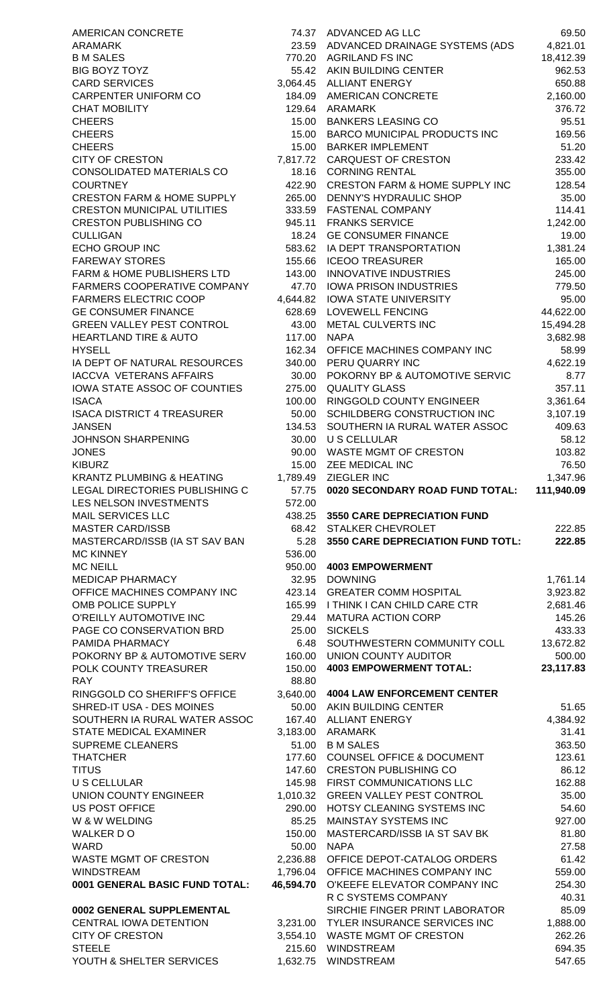| AMERICAN CONCRETE                                          |                    | 74.37 ADVANCED AG LLC                                          | 69.50               |
|------------------------------------------------------------|--------------------|----------------------------------------------------------------|---------------------|
| ARAMARK                                                    |                    | 23.59 ADVANCED DRAINAGE SYSTEMS (ADS                           | 4,821.01            |
| <b>B M SALES</b><br><b>BIG BOYZ TOYZ</b>                   |                    | 770.20 AGRILAND FS INC<br>55.42 AKIN BUILDING CENTER           | 18,412.39<br>962.53 |
| <b>CARD SERVICES</b>                                       |                    | 3,064.45 ALLIANT ENERGY                                        | 650.88              |
| CARPENTER UNIFORM CO                                       | 184.09             | AMERICAN CONCRETE                                              | 2,160.00            |
| <b>CHAT MOBILITY</b>                                       | 129.64             | ARAMARK                                                        | 376.72              |
| <b>CHEERS</b>                                              | 15.00              | <b>BANKERS LEASING CO</b>                                      | 95.51               |
| <b>CHEERS</b>                                              | 15.00              | <b>BARCO MUNICIPAL PRODUCTS INC</b>                            | 169.56              |
| <b>CHEERS</b><br><b>CITY OF CRESTON</b>                    |                    | 15.00 BARKER IMPLEMENT<br>7,817.72 CARQUEST OF CRESTON         | 51.20<br>233.42     |
| CONSOLIDATED MATERIALS CO                                  | 18.16              | <b>CORNING RENTAL</b>                                          | 355.00              |
| <b>COURTNEY</b>                                            | 422.90             | <b>CRESTON FARM &amp; HOME SUPPLY INC</b>                      | 128.54              |
| <b>CRESTON FARM &amp; HOME SUPPLY</b>                      | 265.00             | DENNY'S HYDRAULIC SHOP                                         | 35.00               |
| <b>CRESTON MUNICIPAL UTILITIES</b>                         | 333.59             | <b>FASTENAL COMPANY</b>                                        | 114.41              |
| <b>CRESTON PUBLISHING CO</b>                               | 945.11             | <b>FRANKS SERVICE</b>                                          | 1,242.00            |
| <b>CULLIGAN</b><br><b>ECHO GROUP INC</b>                   | 18.24              | <b>GE CONSUMER FINANCE</b>                                     | 19.00               |
| <b>FAREWAY STORES</b>                                      | 583.62<br>155.66   | IA DEPT TRANSPORTATION<br><b>ICEOO TREASURER</b>               | 1,381.24<br>165.00  |
| FARM & HOME PUBLISHERS LTD                                 | 143.00             | <b>INNOVATIVE INDUSTRIES</b>                                   | 245.00              |
| FARMERS COOPERATIVE COMPANY                                | 47.70              | <b>IOWA PRISON INDUSTRIES</b>                                  | 779.50              |
| <b>FARMERS ELECTRIC COOP</b>                               | 4,644.82           | <b>IOWA STATE UNIVERSITY</b>                                   | 95.00               |
| <b>GE CONSUMER FINANCE</b>                                 | 628.69             | <b>LOVEWELL FENCING</b>                                        | 44,622.00           |
| <b>GREEN VALLEY PEST CONTROL</b>                           | 43.00              | METAL CULVERTS INC                                             | 15,494.28           |
| <b>HEARTLAND TIRE &amp; AUTO</b><br><b>HYSELL</b>          | 117.00<br>162.34   | <b>NAPA</b><br>OFFICE MACHINES COMPANY INC                     | 3,682.98            |
| IA DEPT OF NATURAL RESOURCES                               |                    | 340.00 PERU QUARRY INC                                         | 58.99<br>4,622.19   |
| <b>IACCVA VETERANS AFFAIRS</b>                             | 30.00              | POKORNY BP & AUTOMOTIVE SERVIC                                 | 8.77                |
| IOWA STATE ASSOC OF COUNTIES                               | 275.00             | <b>QUALITY GLASS</b>                                           | 357.11              |
| <b>ISACA</b>                                               | 100.00             | RINGGOLD COUNTY ENGINEER                                       | 3,361.64            |
| <b>ISACA DISTRICT 4 TREASURER</b>                          | 50.00              | SCHILDBERG CONSTRUCTION INC                                    | 3,107.19            |
| <b>JANSEN</b>                                              | 134.53             | SOUTHERN IA RURAL WATER ASSOC                                  | 409.63              |
| JOHNSON SHARPENING<br><b>JONES</b>                         | 30.00              | U S CELLULAR<br>90.00 WASTE MGMT OF CRESTON                    | 58.12<br>103.82     |
| <b>KIBURZ</b>                                              |                    | 15.00 ZEE MEDICAL INC                                          | 76.50               |
| KRANTZ PLUMBING & HEATING                                  |                    | 1,789.49 ZIEGLER INC                                           | 1,347.96            |
| LEGAL DIRECTORIES PUBLISHING C                             | 57.75              | 0020 SECONDARY ROAD FUND TOTAL:                                | 111,940.09          |
| LES NELSON INVESTMENTS                                     | 572.00             |                                                                |                     |
| <b>MAIL SERVICES LLC</b><br><b>MASTER CARD/ISSB</b>        | 438.25<br>68.42    | <b>3550 CARE DEPRECIATION FUND</b><br><b>STALKER CHEVROLET</b> | 222.85              |
| MASTERCARD/ISSB (IA ST SAV BAN                             | 5.28               | 3550 CARE DEPRECIATION FUND TOTL:                              | 222.85              |
| <b>MC KINNEY</b>                                           | 536.00             |                                                                |                     |
| <b>MC NEILL</b>                                            | 950.00             | <b>4003 EMPOWERMENT</b>                                        |                     |
| MEDICAP PHARMACY                                           | 32.95              | <b>DOWNING</b>                                                 | 1,761.14            |
| OFFICE MACHINES COMPANY INC                                | 423.14             | <b>GREATER COMM HOSPITAL</b>                                   | 3,923.82            |
| OMB POLICE SUPPLY<br>O'REILLY AUTOMOTIVE INC               | 165.99<br>29.44    | I THINK I CAN CHILD CARE CTR<br><b>MATURA ACTION CORP</b>      | 2,681.46<br>145.26  |
| PAGE CO CONSERVATION BRD                                   | 25.00              | <b>SICKELS</b>                                                 | 433.33              |
| PAMIDA PHARMACY                                            | 6.48               | SOUTHWESTERN COMMUNITY COLL                                    | 13,672.82           |
| POKORNY BP & AUTOMOTIVE SERV                               | 160.00             | <b>UNION COUNTY AUDITOR</b>                                    | 500.00              |
| POLK COUNTY TREASURER                                      | 150.00             | <b>4003 EMPOWERMENT TOTAL:</b>                                 | 23,117.83           |
| <b>RAY</b>                                                 | 88.80              |                                                                |                     |
| RINGGOLD CO SHERIFF'S OFFICE                               | 3,640.00           | <b>4004 LAW ENFORCEMENT CENTER</b>                             |                     |
| SHRED-IT USA - DES MOINES<br>SOUTHERN IA RURAL WATER ASSOC | 50.00<br>167.40    | AKIN BUILDING CENTER<br><b>ALLIANT ENERGY</b>                  | 51.65<br>4,384.92   |
| STATE MEDICAL EXAMINER                                     | 3,183.00           | <b>ARAMARK</b>                                                 | 31.41               |
| <b>SUPREME CLEANERS</b>                                    | 51.00              | <b>B M SALES</b>                                               | 363.50              |
| <b>THATCHER</b>                                            | 177.60             | <b>COUNSEL OFFICE &amp; DOCUMENT</b>                           | 123.61              |
| <b>TITUS</b>                                               | 147.60             | <b>CRESTON PUBLISHING CO</b>                                   | 86.12               |
| U S CELLULAR                                               |                    | 145.98 FIRST COMMUNICATIONS LLC                                | 162.88              |
| UNION COUNTY ENGINEER<br>US POST OFFICE                    | 1,010.32<br>290.00 | <b>GREEN VALLEY PEST CONTROL</b><br>HOTSY CLEANING SYSTEMS INC | 35.00<br>54.60      |
| W & W WELDING                                              | 85.25              | <b>MAINSTAY SYSTEMS INC</b>                                    | 927.00              |
| WALKER DO                                                  | 150.00             | MASTERCARD/ISSB IA ST SAV BK                                   | 81.80               |
| WARD                                                       | 50.00              | <b>NAPA</b>                                                    | 27.58               |
| WASTE MGMT OF CRESTON                                      |                    | 2,236.88 OFFICE DEPOT-CATALOG ORDERS                           | 61.42               |
| <b>WINDSTREAM</b>                                          |                    | 1,796.04 OFFICE MACHINES COMPANY INC                           | 559.00              |
| 0001 GENERAL BASIC FUND TOTAL:                             | 46,594.70          | O'KEEFE ELEVATOR COMPANY INC<br>R C SYSTEMS COMPANY            | 254.30<br>40.31     |
| 0002 GENERAL SUPPLEMENTAL                                  |                    | SIRCHIE FINGER PRINT LABORATOR                                 | 85.09               |
| CENTRAL IOWA DETENTION                                     |                    |                                                                |                     |
|                                                            |                    | 3,231.00 TYLER INSURANCE SERVICES INC                          |                     |
| <b>CITY OF CRESTON</b>                                     |                    | 3,554.10 WASTE MGMT OF CRESTON                                 | 1,888.00<br>262.26  |
| <b>STEELE</b><br>YOUTH & SHELTER SERVICES                  |                    | 215.60 WINDSTREAM<br>1,632.75 WINDSTREAM                       | 694.35<br>547.65    |